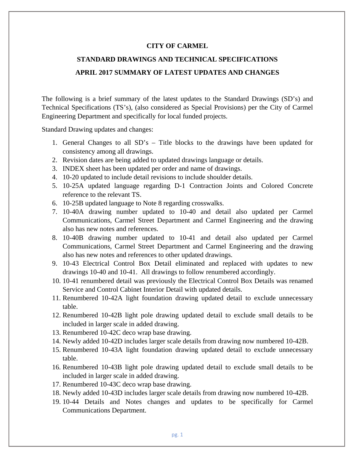## **CITY OF CARMEL**

## **STANDARD DRAWINGS AND TECHNICAL SPECIFICATIONS APRIL 2017 SUMMARY OF LATEST UPDATES AND CHANGES**

The following is a brief summary of the latest updates to the Standard Drawings (SD's) and Technical Specifications (TS's), (also considered as Special Provisions) per the City of Carmel Engineering Department and specifically for local funded projects.

Standard Drawing updates and changes:

- 1. General Changes to all SD's Title blocks to the drawings have been updated for consistency among all drawings.
- 2. Revision dates are being added to updated drawings language or details.
- 3. INDEX sheet has been updated per order and name of drawings.
- 4. 10-20 updated to include detail revisions to include shoulder details.
- 5. 10-25A updated language regarding D-1 Contraction Joints and Colored Concrete reference to the relevant TS.
- 6. 10-25B updated language to Note 8 regarding crosswalks.
- 7. 10-40A drawing number updated to 10-40 and detail also updated per Carmel Communications, Carmel Street Department and Carmel Engineering and the drawing also has new notes and references.
- 8. 10-40B drawing number updated to 10-41 and detail also updated per Carmel Communications, Carmel Street Department and Carmel Engineering and the drawing also has new notes and references to other updated drawings.
- 9. 10-43 Electrical Control Box Detail eliminated and replaced with updates to new drawings 10-40 and 10-41. All drawings to follow renumbered accordingly.
- 10. 10-41 renumbered detail was previously the Electrical Control Box Details was renamed Service and Control Cabinet Interior Detail with updated details.
- 11. Renumbered 10-42A light foundation drawing updated detail to exclude unnecessary table.
- 12. Renumbered 10-42B light pole drawing updated detail to exclude small details to be included in larger scale in added drawing.
- 13. Renumbered 10-42C deco wrap base drawing.
- 14. Newly added 10-42D includes larger scale details from drawing now numbered 10-42B.
- 15. Renumbered 10-43A light foundation drawing updated detail to exclude unnecessary table.
- 16. Renumbered 10-43B light pole drawing updated detail to exclude small details to be included in larger scale in added drawing.
- 17. Renumbered 10-43C deco wrap base drawing.
- 18. Newly added 10-43D includes larger scale details from drawing now numbered 10-42B.
- 19. 10-44 Details and Notes changes and updates to be specifically for Carmel Communications Department.